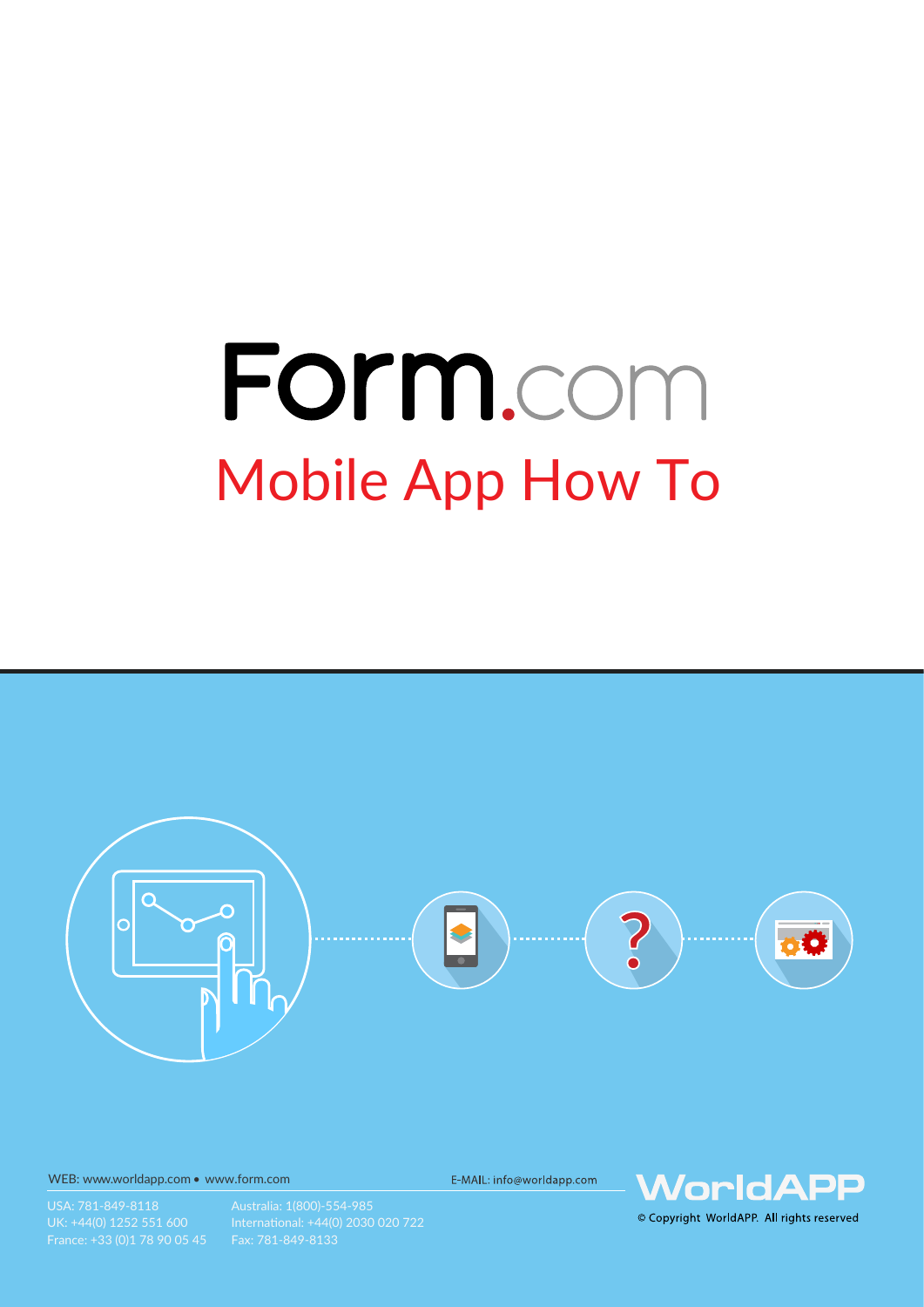# Form.com Mobile App How To



WEB: www.worldapp.com • www.form.com

E-MAIL: info@worldapp.com



France: +33 (0)1 78 90 05 45 Fax: 781-849-8133

© Copyright WorldAPP. All rights reserved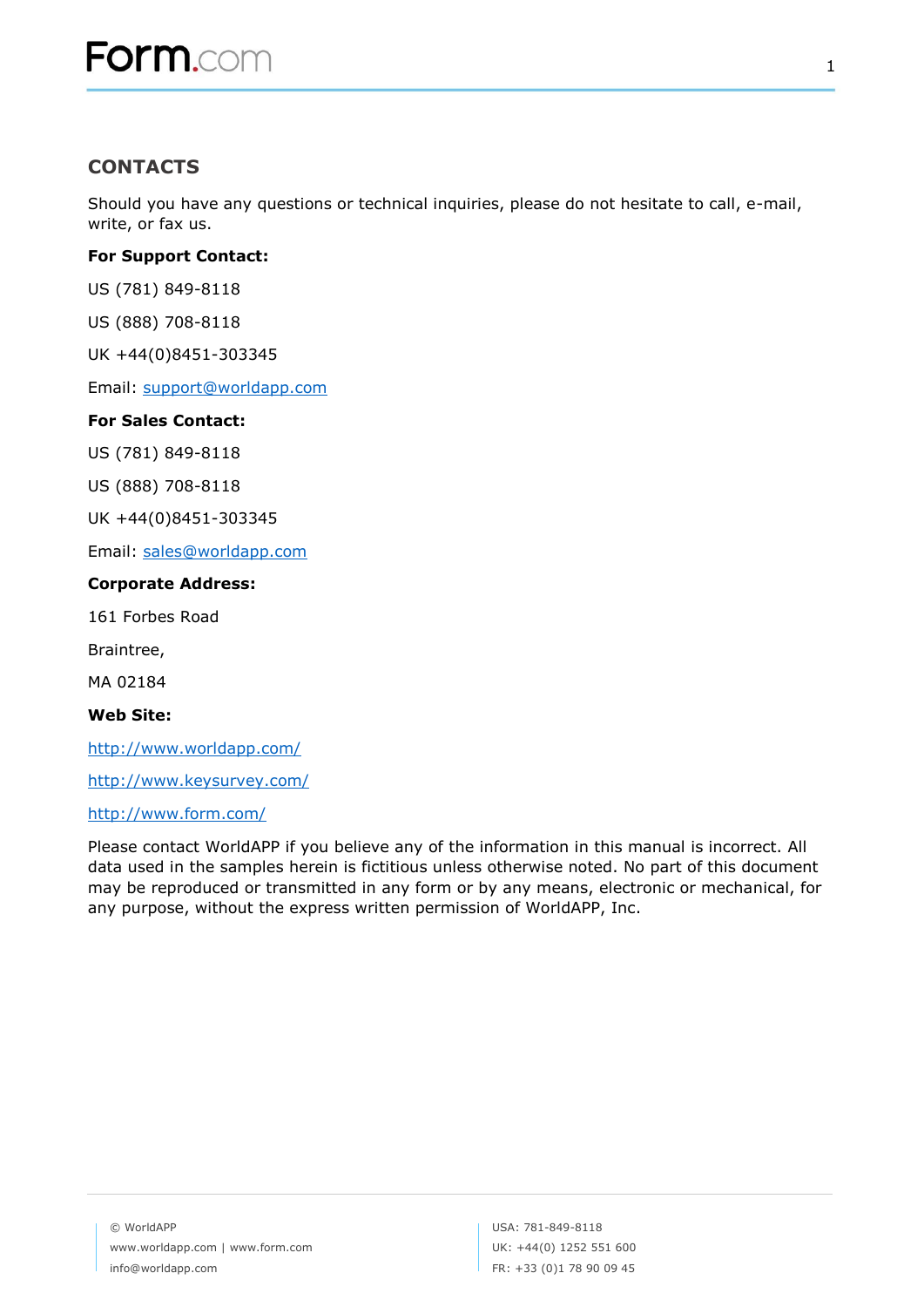## **CONTACTS**

Should you have any questions or technical inquiries, please do not hesitate to call, e-mail, write, or fax us.

#### **For Support Contact:**

US (781) 849-8118

US (888) 708-8118

UK +44(0)8451-303345

Email: [support@worldapp.com](mailto:support@worldapp.com)

#### **For Sales Contact:**

US (781) 849-8118

US (888) 708-8118

UK +44(0)8451-303345

Email: [sales@worldapp.com](mailto:sales@worldapp.com)

#### **Corporate Address:**

161 Forbes Road

Braintree,

MA 02184

**Web Site:**

<http://www.worldapp.com/>

<http://www.keysurvey.com/>

#### <http://www.form.com/>

Please contact WorldAPP if you believe any of the information in this manual is incorrect. All data used in the samples herein is fictitious unless otherwise noted. No part of this document may be reproduced or transmitted in any form or by any means, electronic or mechanical, for any purpose, without the express written permission of WorldAPP, Inc.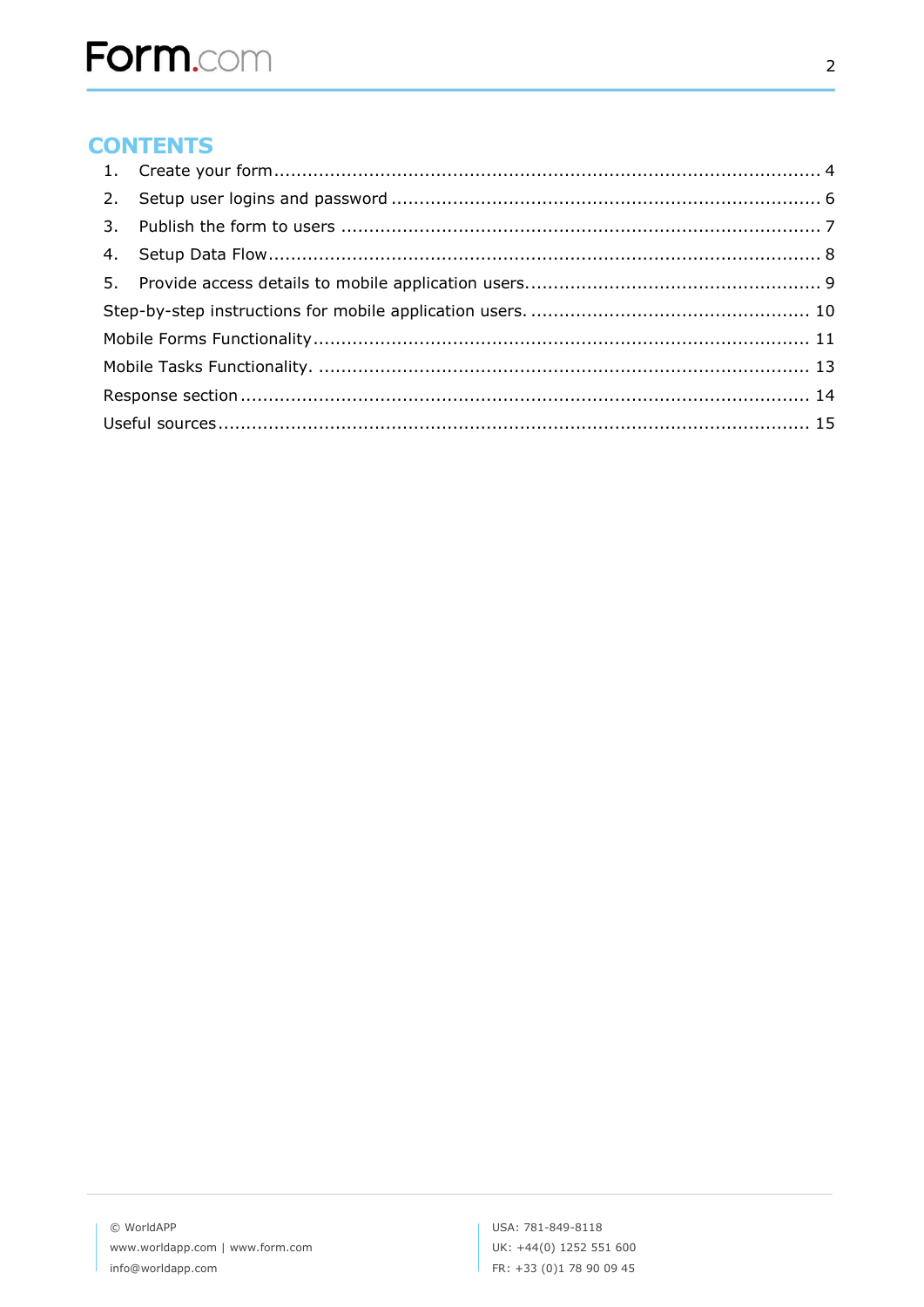# **CONTENTS**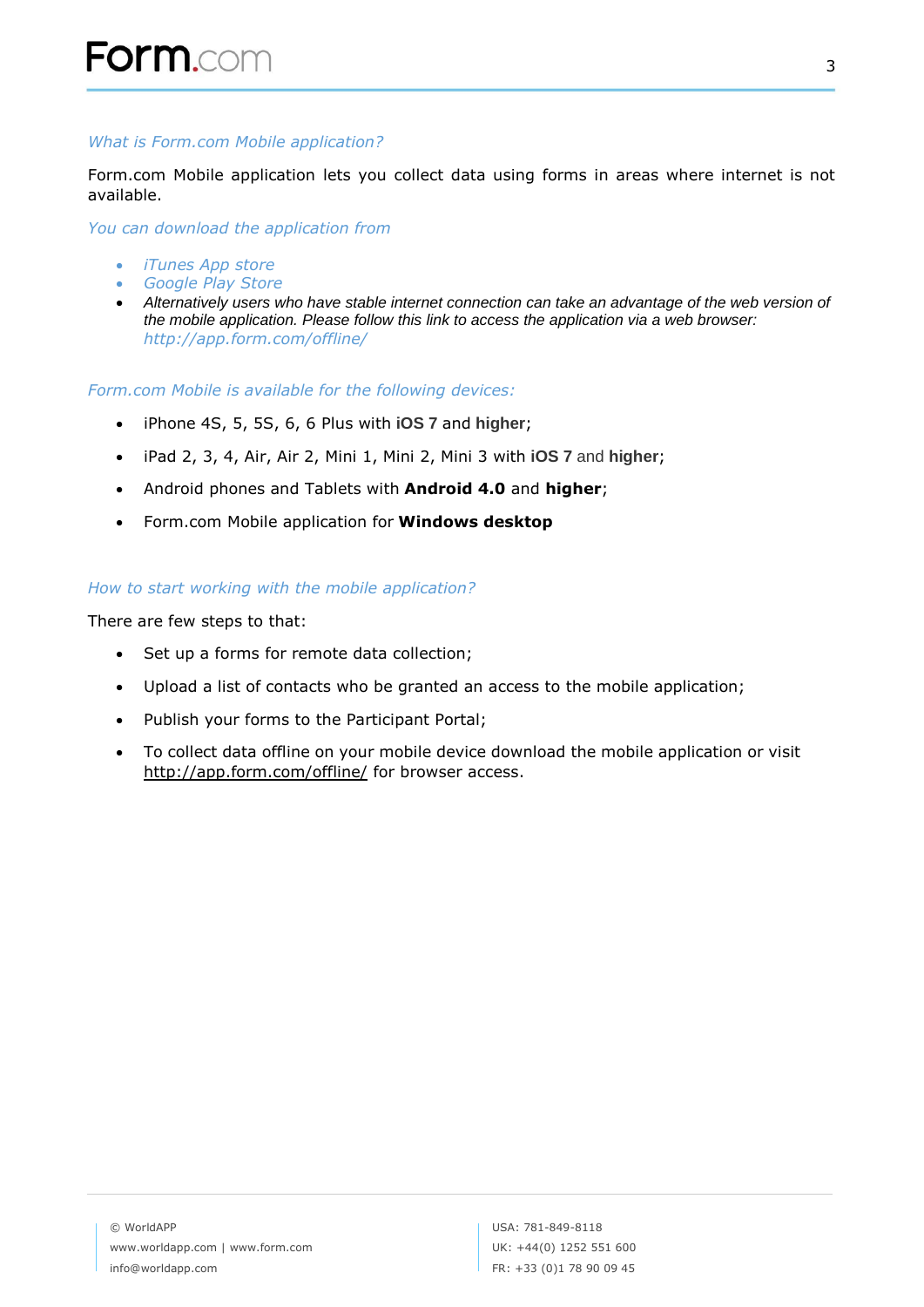#### *What is Form.com Mobile application?*

Form.com Mobile application lets you collect data using forms in areas where internet is not available.

*You can download the application from* 

- *[iTunes App store](https://itunes.apple.com/app/id907514756)*
- *[Google Play Store](https://play.google.com/store/apps/details?id=com.form.offline)*
- *Alternatively users who have stable internet connection can take an advantage of the web version of the mobile application. Please follow this link to access the application via a web browser: http://app.form.com/offline/*

*Form.com Mobile is available for the following devices:*

- iPhone 4S, 5, 5S, 6, 6 Plus with **iOS 7** and **higher**;
- iPad 2, 3, 4, Air, Air 2, Mini 1, Mini 2, Mini 3 with **iOS 7** and **higher**;
- Android phones and Tablets with **Android 4.0** and **higher**;
- Form.com Mobile application for **Windows desktop**

#### *How to start working with the mobile application?*

There are few steps to that:

- Set up a forms for remote data collection;
- Upload a list of contacts who be granted an access to the mobile application;
- Publish your forms to the Participant Portal;
- To collect data offline on your mobile device download the mobile application or visit <http://app.form.com/offline/> for browser access.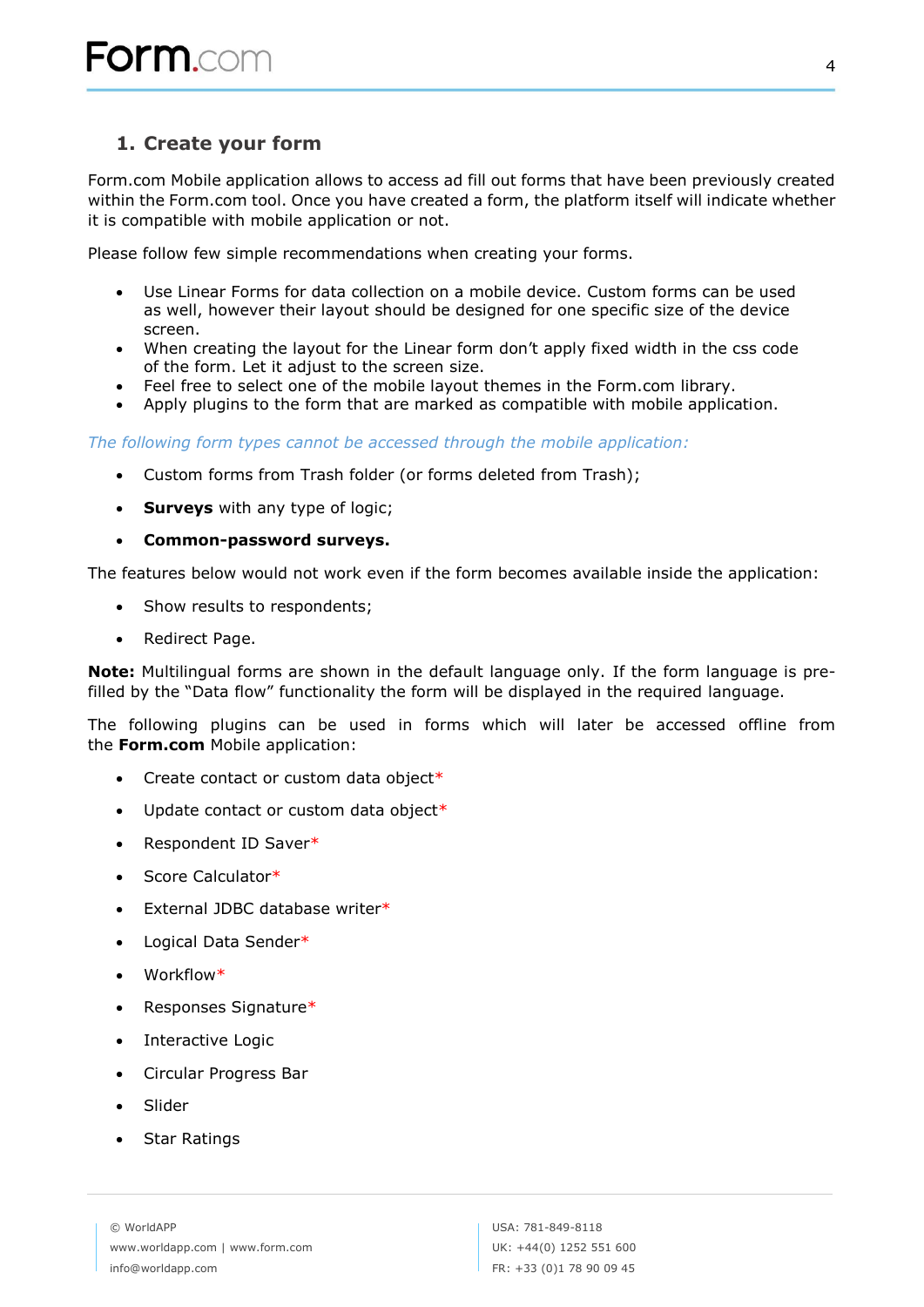## <span id="page-4-0"></span>**1. Create your form**

Form.com Mobile application allows to access ad fill out forms that have been previously created within the Form.com tool. Once you have created a form, the platform itself will indicate whether it is compatible with mobile application or not.

Please follow few simple recommendations when creating your forms.

- Use Linear Forms for data collection on a mobile device. Custom forms can be used as well, however their layout should be designed for one specific size of the device screen.
- When creating the layout for the Linear form don't apply fixed width in the css code of the form. Let it adjust to the screen size.
- Feel free to select one of the mobile layout themes in the Form.com library.
- Apply plugins to the form that are marked as compatible with mobile application.

*The following form types cannot be accessed through the mobile application:*

- Custom forms from Trash folder (or forms deleted from Trash);
- **Surveys** with any type of logic;
- **Common-password surveys.**

The features below would not work even if the form becomes available inside the application:

- Show results to respondents;
- Redirect Page.

**Note:** Multilingual forms are shown in the default language only. If the form language is prefilled by the "Data flow" functionality the form will be displayed in the required language.

The following plugins can be used in forms which will later be accessed offline from the **Form.com** Mobile application:

- Create contact or custom data object $*$
- Update contact or custom data object\*
- Respondent ID Saver\*
- Score Calculator\*
- External JDBC database writer\*
- Logical Data Sender\*
- Workflow\*
- Responses Signature\*
- Interactive Logic
- Circular Progress Bar
- Slider
- Star Ratings

© WorldAPP www.worldapp.com | www.form.com info@worldapp.com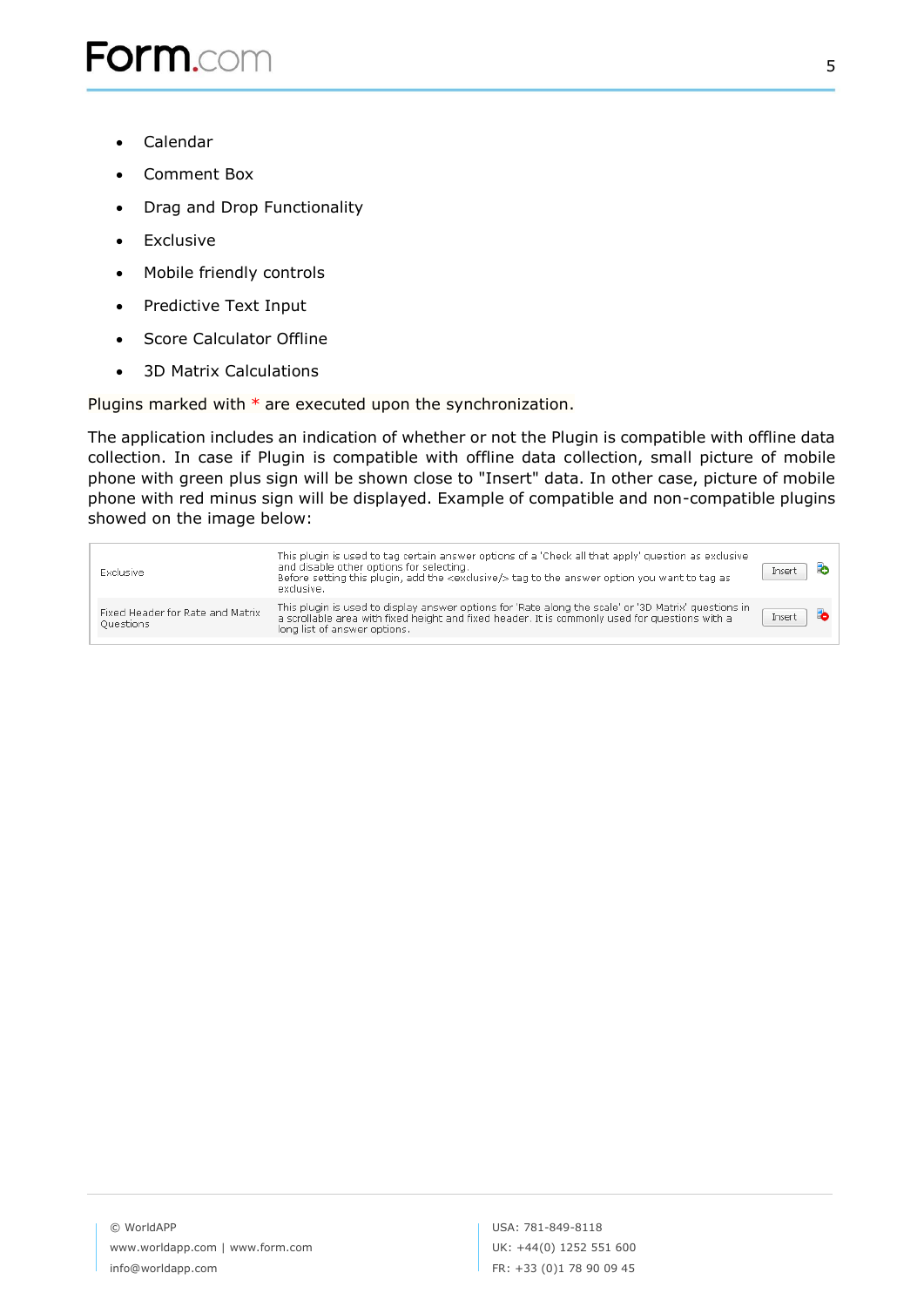- Calendar
- Comment Box
- Drag and Drop Functionality
- Exclusive
- Mobile friendly controls
- Predictive Text Input
- Score Calculator Offline
- 3D Matrix Calculations

Plugins marked with  $*$  are executed upon the synchronization.

The application includes an indication of whether or not the Plugin is compatible with offline data collection. In case if Plugin is compatible with offline data collection, small picture of mobile phone with green plus sign will be shown close to "Insert" data. In other case, picture of mobile phone with red minus sign will be displayed. Example of compatible and non-compatible plugins showed on the image below:

| Exclusive                                            | This plugin is used to tag certain answer options of a 'Check all that apply' guestion as exclusive<br>and disable other options for selecting.<br>Before setting this plugin, add the <exclusive></exclusive> tag to the answer option you want to tag as<br>exclusive. | Insert |  |
|------------------------------------------------------|--------------------------------------------------------------------------------------------------------------------------------------------------------------------------------------------------------------------------------------------------------------------------|--------|--|
| Fixed Header for Rate and Matrix<br><b>Questions</b> | This plugin is used to display answer options for 'Rate along the scale' or '3D Matrix' guestions in<br>a scrollable area with fixed height and fixed header. It is commonly used for questions with a<br>long list of answer options.                                   | Insert |  |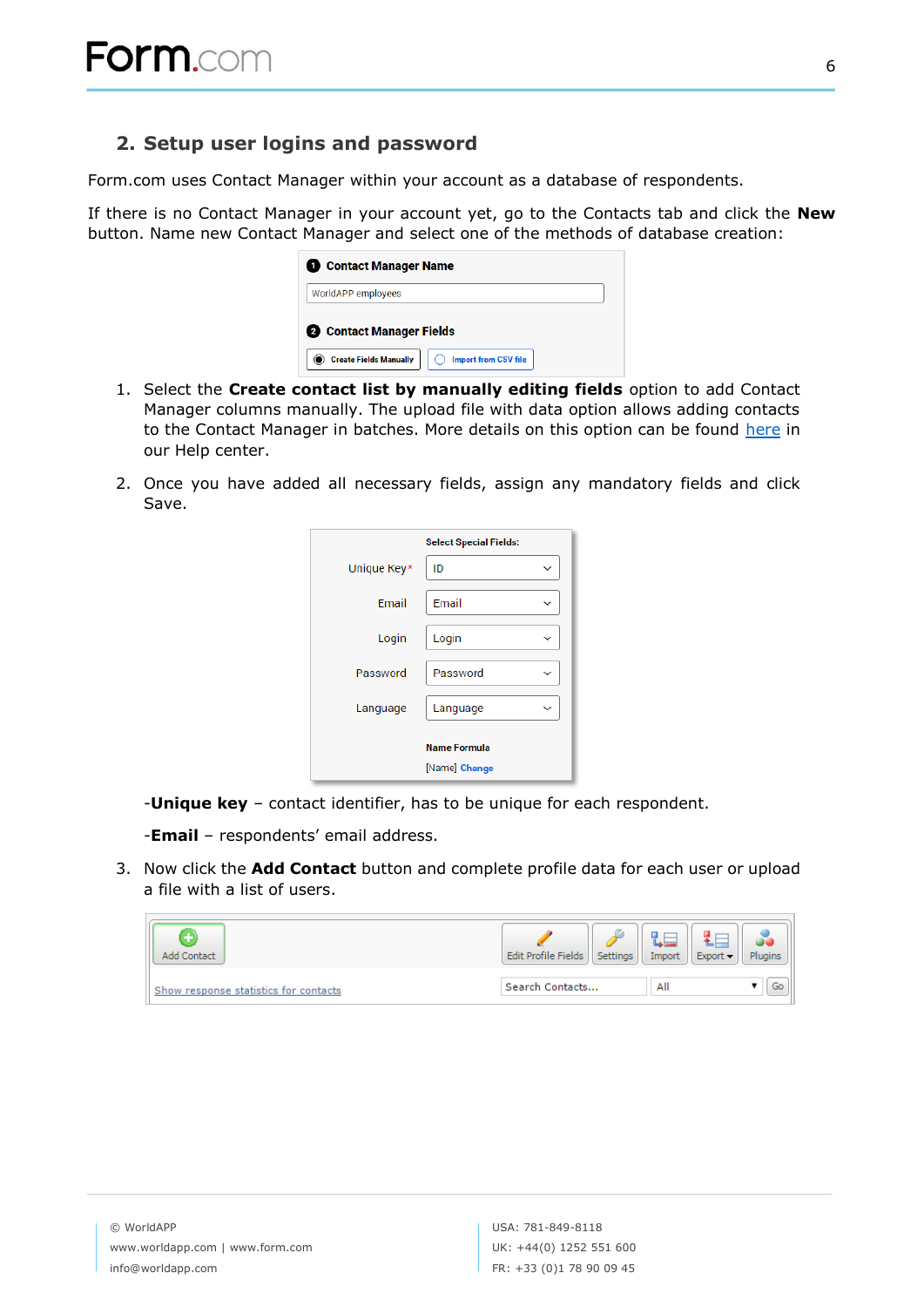## <span id="page-6-0"></span>**2. Setup user logins and password**

Form.com uses Contact Manager within your account as a database of respondents.

If there is no Contact Manager in your account yet, go to the Contacts tab and click the **New**  button. Name new Contact Manager and select one of the methods of database creation:

| <b>1</b> Contact Manager Name                                                            |  |  |  |
|------------------------------------------------------------------------------------------|--|--|--|
| WorldAPP employees                                                                       |  |  |  |
| 2 Contact Manager Fields<br><b>Create Fields Manually</b><br><b>Import from CSV file</b> |  |  |  |

- 1. Select the **Create contact list by manually editing fields** option to add Contact Manager columns manually. The upload file with data option allows adding contacts to the Contact Manager in batches. More details on this option can be found [here](https://help.worldapp.com/x/tpEL) in our Help center.
- 2. Once you have added all necessary fields, assign any mandatory fields and click Save.

| <b>Select Special Fields:</b> |          |              |  |  |
|-------------------------------|----------|--------------|--|--|
| Unique Key*                   | ID       | $\checkmark$ |  |  |
| Email                         | Email    |              |  |  |
| Login                         | Login    |              |  |  |
| Password                      | Password | $\checkmark$ |  |  |
| Language                      | Language | $\checkmark$ |  |  |
| <b>Name Formula</b>           |          |              |  |  |
| [Name] Change                 |          |              |  |  |

-**Unique key** – contact identifier, has to be unique for each respondent.

-**Email** – respondents' email address.

3. Now click the **Add Contact** button and complete profile data for each user or upload a file with a list of users.

| Add Contact                           | Edit Profile Fields<br><b>Settings</b> | $Export -$<br>Import | Plugins |
|---------------------------------------|----------------------------------------|----------------------|---------|
| Show response statistics for contacts | Search Contacts                        | All                  |         |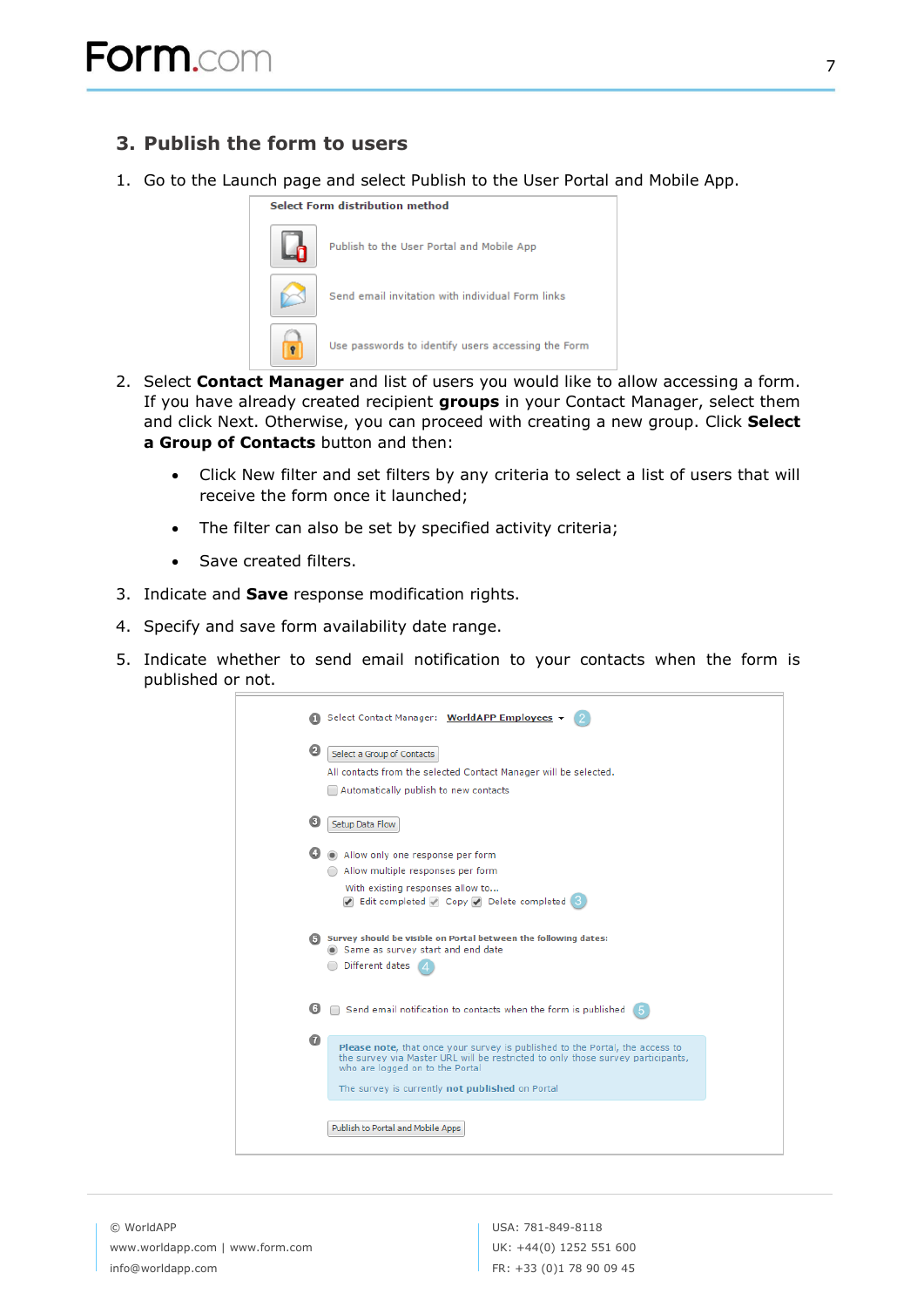## <span id="page-7-0"></span>**3. Publish the form to users**

1. Go to the Launch page and select Publish to the User Portal and Mobile App.

#### Select Form distribution method



- 2. Select **Contact Manager** and list of users you would like to allow accessing a form. If you have already created recipient **groups** in your Contact Manager, select them and click Next. Otherwise, you can proceed with creating a new group. Click **Select a Group of Contacts** button and then:
	- Click New filter and set filters by any criteria to select a list of users that will receive the form once it launched;
	- The filter can also be set by specified activity criteria;
	- Save created filters.
- 3. Indicate and **Save** response modification rights.
- 4. Specify and save form availability date range.
- 5. Indicate whether to send email notification to your contacts when the form is published or not.

|    | Select Contact Manager: WorldAPP Employees                                                                                                                                                                                                            |
|----|-------------------------------------------------------------------------------------------------------------------------------------------------------------------------------------------------------------------------------------------------------|
| 0  | Select a Group of Contacts<br>All contacts from the selected Contact Manager will be selected.<br>Automatically publish to new contacts                                                                                                               |
| ❸  | Setup Data Flow                                                                                                                                                                                                                                       |
|    | Allow only one response per form<br>Allow multiple responses per form<br>With existing responses allow to<br>Edit completed Copy Delete completed                                                                                                     |
|    | (5) Survey should be visible on Portal between the following dates:<br>Same as survey start and end date<br>Different dates                                                                                                                           |
| G. | Send email notification to contacts when the form is published                                                                                                                                                                                        |
| ⋒  | Please note, that once your survey is published to the Portal, the access to<br>the survey via Master URL will be restricted to only those survey participants,<br>who are logged on to the Portal<br>The survey is currently not published on Portal |
|    | Publish to Portal and Mobile Apps                                                                                                                                                                                                                     |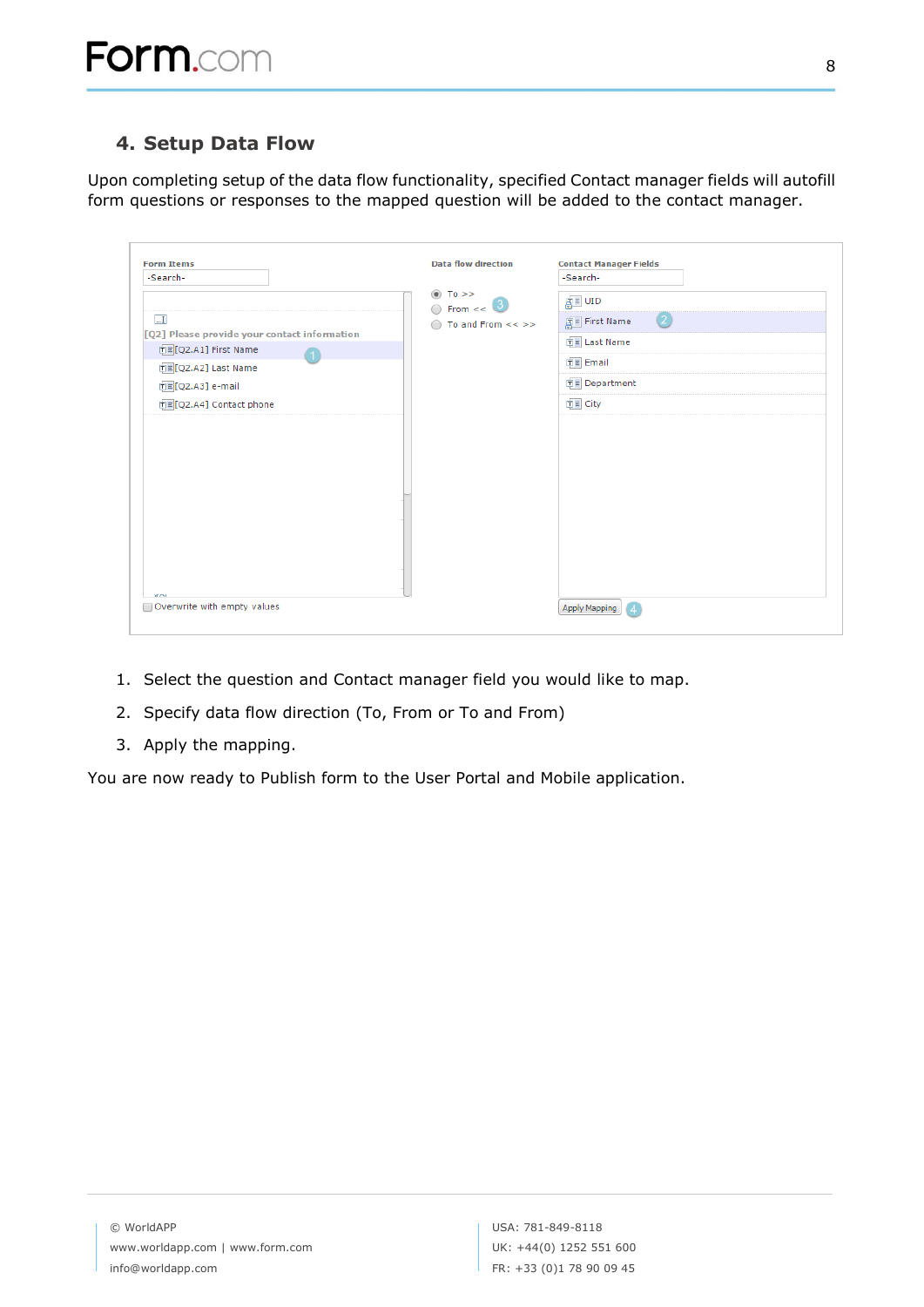# <span id="page-8-0"></span>**4. Setup Data Flow**

Upon completing setup of the data flow functionality, specified Contact manager fields will autofill form questions or responses to the mapped question will be added to the contact manager.

| <b>Form Items</b><br>-Search-                                                                                                                                                      | <b>Data flow direction</b>                                                     | <b>Contact Manager Fields</b><br>-Search-                                                                  |
|------------------------------------------------------------------------------------------------------------------------------------------------------------------------------------|--------------------------------------------------------------------------------|------------------------------------------------------------------------------------------------------------|
| $\blacksquare$<br>[Q2] Please provide your contact information<br>面 [Q2.A1] First Name<br>$\left( 1 \right)$<br>中国[Q2.A2] Last Name<br>可目[Q2.A3] e-mail<br>□■[Q2.A4] Contact phone | $^{\circ}$<br>$To \geq$<br>$\circ$ From << $\circ$<br>To and From $<<$ >><br>∩ | <u>ह</u> ा≣ ∪ID<br>(2)<br>First Name<br><b>可目 Last Name</b><br>□■ Email<br><b>中国</b> Department<br>□■ City |
| Overwrite with empty values                                                                                                                                                        |                                                                                | Apply Mapping                                                                                              |

- 1. Select the question and Contact manager field you would like to map.
- 2. Specify data flow direction (To, From or To and From)
- 3. Apply the mapping.

You are now ready to Publish form to the User Portal and Mobile application.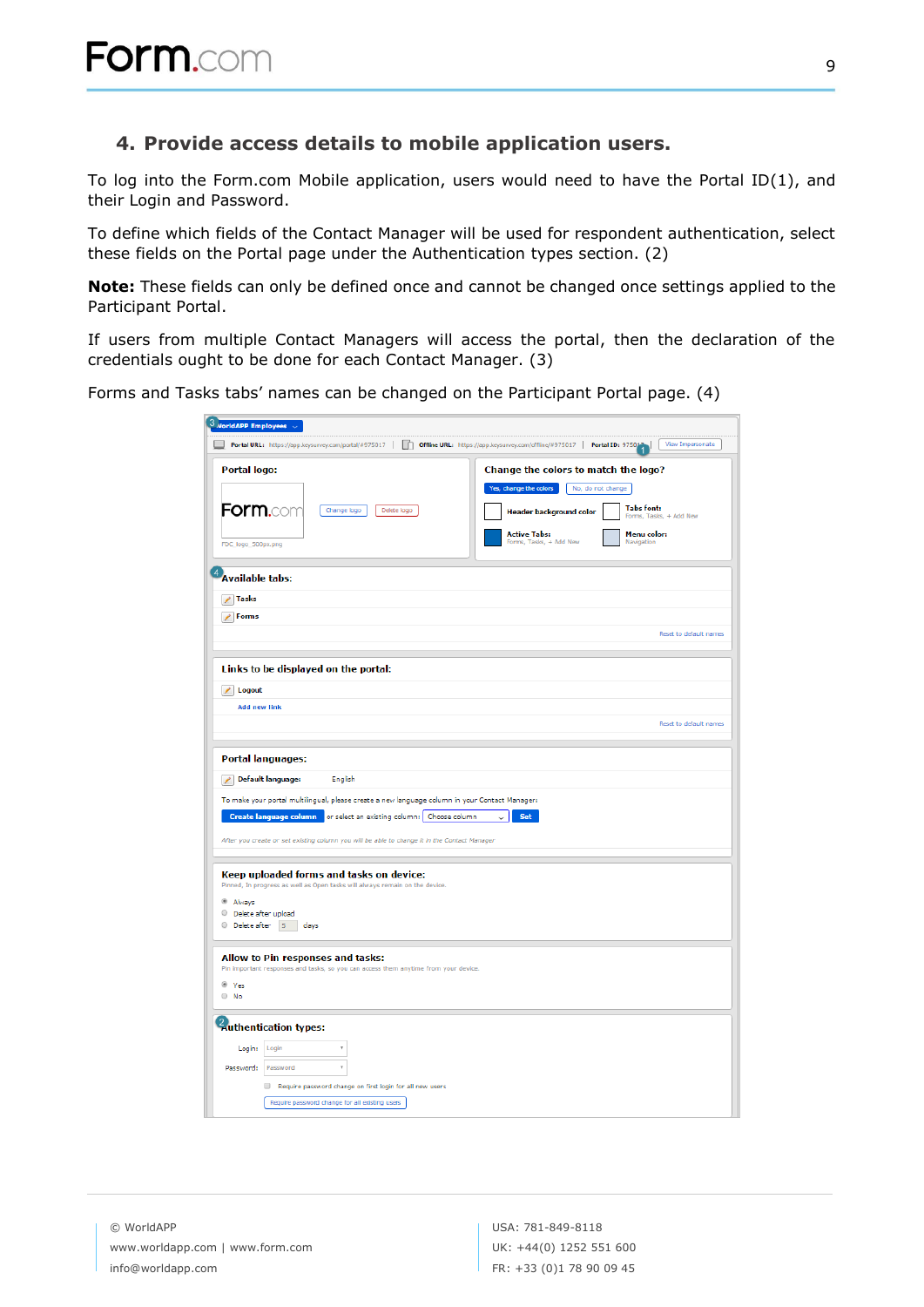### <span id="page-9-0"></span>**4. Provide access details to mobile application users.**

To log into the Form.com Mobile application, users would need to have the Portal ID(1), and their Login and Password.

To define which fields of the Contact Manager will be used for respondent authentication, select these fields on the Portal page under the Authentication types section. (2)

**Note:** These fields can only be defined once and cannot be changed once settings applied to the Participant Portal.

If users from multiple Contact Managers will access the portal, then the declaration of the credentials ought to be done for each Contact Manager. (3)

Forms and Tasks tabs' names can be changed on the Participant Portal page. (4)

| $3$ NorldAPP Employees $\sim$                                                                                            |                                                                                                                                                                       |
|--------------------------------------------------------------------------------------------------------------------------|-----------------------------------------------------------------------------------------------------------------------------------------------------------------------|
| Portal URL: https://app.keysurvey.com/portal/#975017                                                                     | Offline URL: https://app.keysurvey.com/offline/#975017   Portal ID: 975013<br>View Impersonate                                                                        |
| Portal logo:<br><b>Form.cor</b><br>Change logo<br>Delete logo                                                            | Change the colors to match the logo?<br>Yes, change the colors<br>No, do not change<br><b>Tabs font:</b><br><b>Header background color</b><br>Forms, Tasks, + Add New |
| FDC_logo_500px.png                                                                                                       | <b>Active Tabs:</b><br>Menu color:<br>Forms, Tasks, + Add New<br>Navigation                                                                                           |
| <b>Available tabs:</b>                                                                                                   |                                                                                                                                                                       |
| / Tasks                                                                                                                  |                                                                                                                                                                       |
| $\angle$ Forms                                                                                                           |                                                                                                                                                                       |
|                                                                                                                          | Reset to default names                                                                                                                                                |
|                                                                                                                          |                                                                                                                                                                       |
| Links to be displayed on the portal:                                                                                     |                                                                                                                                                                       |
| / Logout                                                                                                                 |                                                                                                                                                                       |
| <b>Add new link</b>                                                                                                      | Reset to default names                                                                                                                                                |
|                                                                                                                          |                                                                                                                                                                       |
| <b>Portal languages:</b>                                                                                                 |                                                                                                                                                                       |
| <b>Default language:</b><br>English<br>$\mathscr{L}$                                                                     |                                                                                                                                                                       |
| To make your portal multilingual, please create a new language column in your Contact Manager:                           |                                                                                                                                                                       |
| Create language column or select an existing column: Choose column                                                       | <b>Set</b><br>$\checkmark$                                                                                                                                            |
| After you create or set existing column you will be able to change it in the Contact Manager                             |                                                                                                                                                                       |
|                                                                                                                          |                                                                                                                                                                       |
| Keep uploaded forms and tasks on device:<br>Pinned, In progress as well as Open tasks will always remain on the device.  |                                                                                                                                                                       |
| @ Always                                                                                                                 |                                                                                                                                                                       |
| Delete after upload<br>O Delete after 5 days                                                                             |                                                                                                                                                                       |
|                                                                                                                          |                                                                                                                                                                       |
| Allow to Pin responses and tasks:<br>Pin important responses and tasks, so you can access them anytime from your device. |                                                                                                                                                                       |
| <sup>®</sup> Yes                                                                                                         |                                                                                                                                                                       |
| $\circ$ No                                                                                                               |                                                                                                                                                                       |
| <sup>2</sup> Authentication types:                                                                                       |                                                                                                                                                                       |
| Login: Login                                                                                                             |                                                                                                                                                                       |
| Password: Password                                                                                                       |                                                                                                                                                                       |
| Require password change on first login for all new users                                                                 |                                                                                                                                                                       |
| Require password change for all existing users                                                                           |                                                                                                                                                                       |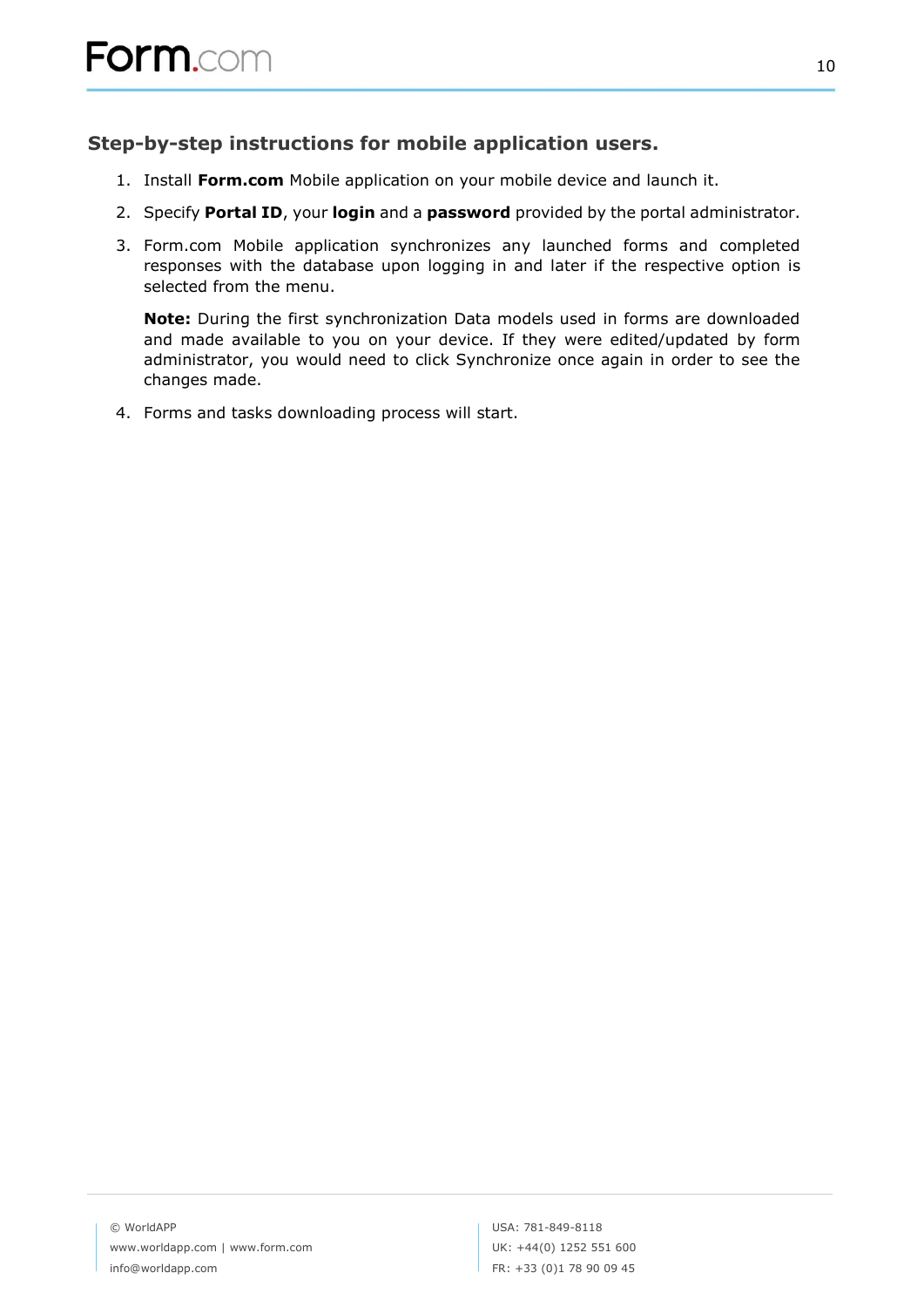## <span id="page-10-0"></span>**Step-by-step instructions for mobile application users.**

- 1. Install **Form.com** Mobile application on your mobile device and launch it.
- 2. Specify **Portal ID**, your **login** and a **password** provided by the portal administrator.
- 3. Form.com Mobile application synchronizes any launched forms and completed responses with the database upon logging in and later if the respective option is selected from the menu.

**Note:** During the first synchronization Data models used in forms are downloaded and made available to you on your device. If they were edited/updated by form administrator, you would need to click Synchronize once again in order to see the changes made.

4. Forms and tasks downloading process will start.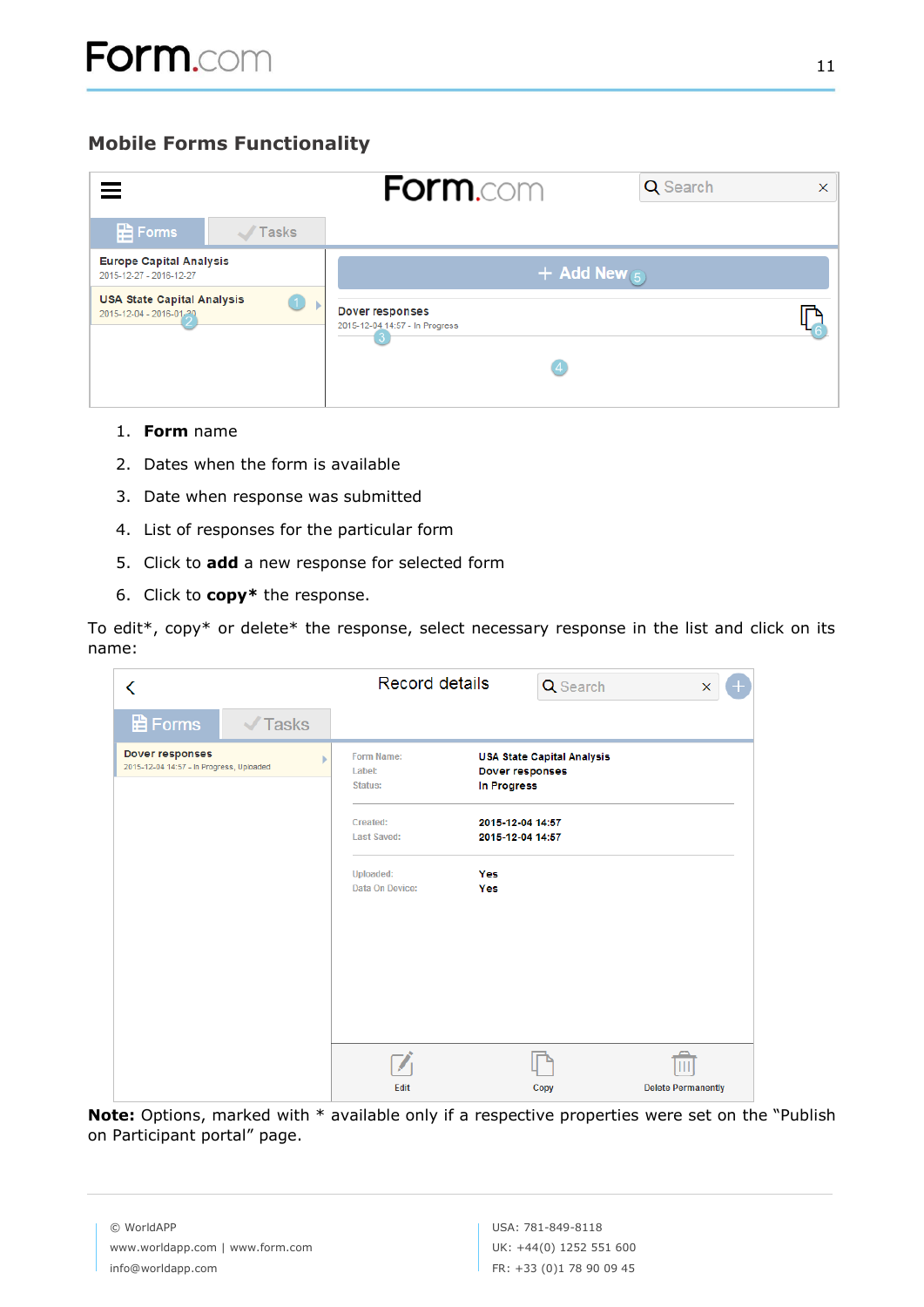# <span id="page-11-0"></span>**Mobile Forms Functionality**

|                                                                        | <b>Form.com</b><br>Q Search                                    | $\times$ |
|------------------------------------------------------------------------|----------------------------------------------------------------|----------|
| <b>B</b> Forms<br>Tasks                                                |                                                                |          |
| <b>Europe Capital Analysis</b><br>2015-12-27 - 2016-12-27              | + Add New $(5)$                                                |          |
| <b>USA State Capital Analysis</b><br>$\Box$<br>2015-12-04 - 2016-01-20 | <b>Dover responses</b><br>2015-12-04 14:57 - In Progress<br>【4 |          |
|                                                                        |                                                                |          |

- 1. **Form** name
- 2. Dates when the form is available
- 3. Date when response was submitted
- 4. List of responses for the particular form
- 5. Click to **add** a new response for selected form
- 6. Click to **copy\*** the response.

To edit\*, copy\* or delete\* the response, select necessary response in the list and click on its name:

| ∢                                                           | <b>Record details</b>                             | Q Search                                                                   | ×                         |
|-------------------------------------------------------------|---------------------------------------------------|----------------------------------------------------------------------------|---------------------------|
| <b>日</b> Forms<br>$\sqrt{}$ Tasks                           |                                                   |                                                                            |                           |
| Dover responses<br>2015-12-04 14:57 - In Progress, Uploaded | Form Name:<br>Label:<br><b>Status:</b>            | <b>USA State Capital Analysis</b><br><b>Dover responses</b><br>In Progress |                           |
|                                                             | Created:<br><b>Last Saved:</b>                    | 2015-12-04 14:57<br>2015-12-04 14:57                                       |                           |
|                                                             | <b>Uploaded:</b><br>Yes<br>Data On Device:<br>Yes |                                                                            |                           |
|                                                             |                                                   |                                                                            |                           |
|                                                             |                                                   |                                                                            |                           |
|                                                             |                                                   |                                                                            |                           |
|                                                             | Edit                                              | Copy                                                                       | <b>Delete Permanently</b> |

**Note:** Options, marked with \* available only if a respective properties were set on the "Publish on Participant portal" page.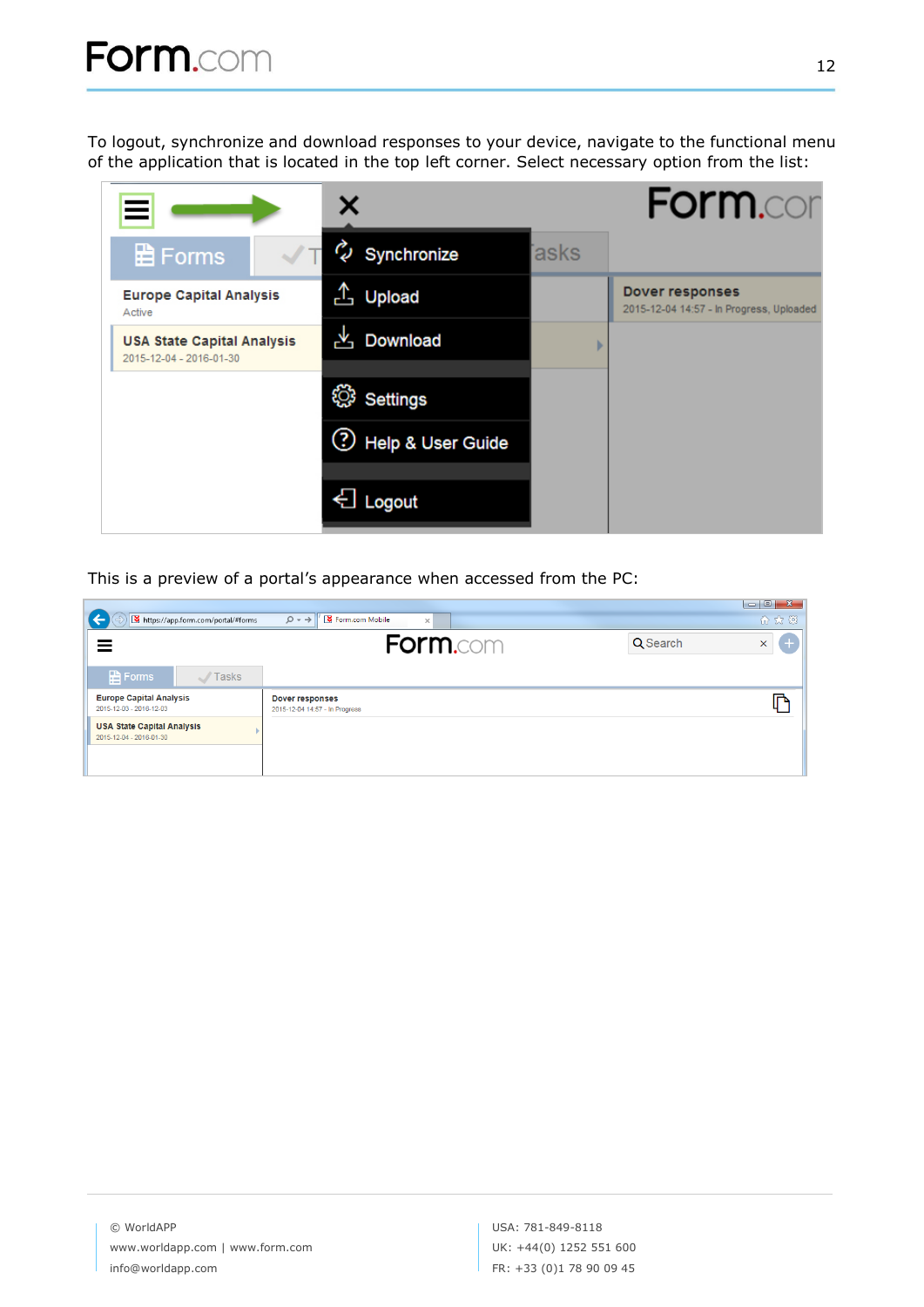To logout, synchronize and download responses to your device, navigate to the functional menu of the application that is located in the top left corner. Select necessary option from the list:

|                                                              |                        |      | <b>Form.cor</b>                                                    |
|--------------------------------------------------------------|------------------------|------|--------------------------------------------------------------------|
| <b>日Forms</b>                                                | W<br>Synchronize       | asks |                                                                    |
| <b>Europe Capital Analysis</b><br>Active                     | А,<br>Upload           |      | <b>Dover responses</b><br>2015-12-04 14:57 - In Progress, Uploaded |
| <b>USA State Capital Analysis</b><br>2015-12-04 - 2016-01-30 | <b>LA</b> Download     |      |                                                                    |
|                                                              | දලා<br><b>Settings</b> |      |                                                                    |
|                                                              | (?) Help & User Guide  |      |                                                                    |
|                                                              | ← Logout               |      |                                                                    |

This is a preview of a portal's appearance when accessed from the PC:

| https://app.form.com/portal/#forms                           |       | Form.com Mobile<br>$\rho \rightarrow \ '$<br>$\times$    | $\begin{array}{c c c c c} \hline \multicolumn{3}{c }{\multicolumn{3}{c }{\multicolumn{3}{c }{\multicolumn{3}{c }{\multicolumn{3}{c }{\multicolumn{3}{c }{\multicolumn{3}{c }{\multicolumn{3}{c }{\multicolumn{3}{c }{\multicolumn{3}{c }{\multicolumn{3}{c }{\multicolumn{3}{c }{\multicolumn{3}{c }{\multicolumn{3}{c }{\multicolumn{3}{c }{\multicolumn{3}{c }{\multicolumn{3}{c }{\multicolumn{3}{c }{\multicolumn{3}{c }{\multicolumn{3}{c }{\mult$<br>$\mathbf{x}$<br>价太好 |
|--------------------------------------------------------------|-------|----------------------------------------------------------|--------------------------------------------------------------------------------------------------------------------------------------------------------------------------------------------------------------------------------------------------------------------------------------------------------------------------------------------------------------------------------------------------------------------------------------------------------------------------------|
|                                                              |       | <b>Form.com</b>                                          | $+$<br>Q Search<br>$\mathsf X$                                                                                                                                                                                                                                                                                                                                                                                                                                                 |
| <b>E</b> Forms<br>- 1                                        | Tasks |                                                          |                                                                                                                                                                                                                                                                                                                                                                                                                                                                                |
| <b>Europe Capital Analysis</b><br>2015-12-03 - 2016-12-03    |       | <b>Dover responses</b><br>2015-12-04 14:57 - In Progress |                                                                                                                                                                                                                                                                                                                                                                                                                                                                                |
| <b>USA State Capital Analysis</b><br>2015-12-04 - 2016-01-30 |       |                                                          |                                                                                                                                                                                                                                                                                                                                                                                                                                                                                |
|                                                              |       |                                                          |                                                                                                                                                                                                                                                                                                                                                                                                                                                                                |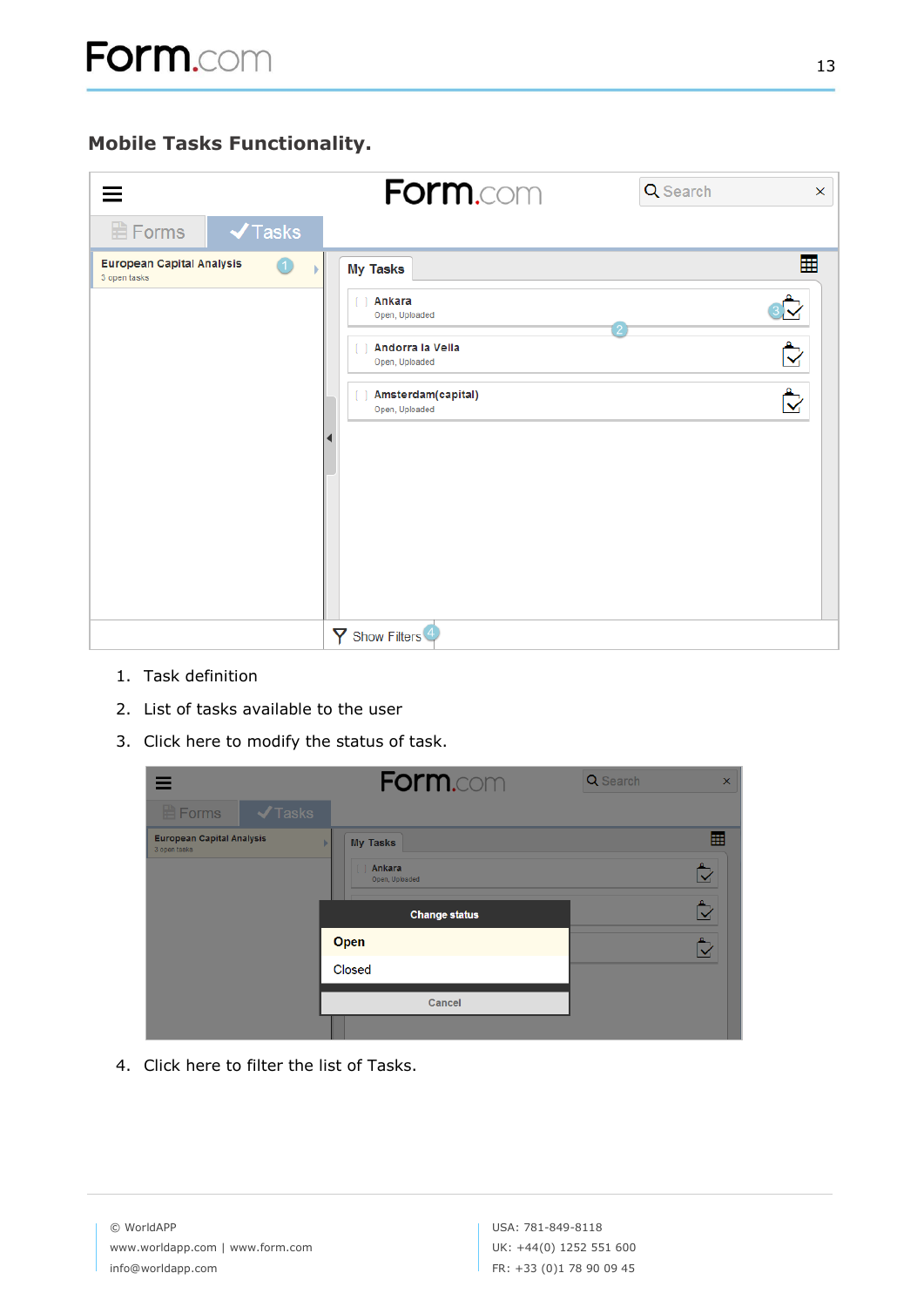<span id="page-13-0"></span>

| 亖                                                              | Form.com                                                                                                                  | Q Search<br>$\boldsymbol{\mathsf{x}}$                                                    |
|----------------------------------------------------------------|---------------------------------------------------------------------------------------------------------------------------|------------------------------------------------------------------------------------------|
| $\blacktriangledown$ Tasks<br><b>日Forms</b>                    |                                                                                                                           |                                                                                          |
| <b>European Capital Analysis</b><br>$\bigcirc$<br>3 open tasks | <b>My Tasks</b><br>Ankara<br>Open, Uploaded<br>Andorra la Vella<br>Open, Uploaded<br>Amsterdam(capital)<br>Open, Uploaded | 囲<br>$\mathbb{Z}$<br>$\stackrel{\bullet}{\blacktriangledown}$<br>$\mathring{\mathbb{C}}$ |
|                                                                | $\mathsf Y$ Show Filters $\overset{4}{\rightarrow}$                                                                       |                                                                                          |

- 1. Task definition
- 2. List of tasks available to the user
- 3. Click here to modify the status of task.

|                                                  | <b>Form.com</b>                                         | Q Search<br>$\times$ |
|--------------------------------------------------|---------------------------------------------------------|----------------------|
| $\blacktriangleright$ Tasks<br><b>E</b> Forms    |                                                         |                      |
| <b>European Capital Analysis</b><br>3 open tasks | <b>My Tasks</b><br>ь<br><b>Ankara</b><br>Open, Uploaded | 囲<br>₿               |
|                                                  | <b>Change status</b>                                    | ₿                    |
|                                                  | Open                                                    | ₿                    |
|                                                  | Closed                                                  |                      |
|                                                  | Cancel                                                  |                      |
|                                                  |                                                         |                      |

4. Click here to filter the list of Tasks.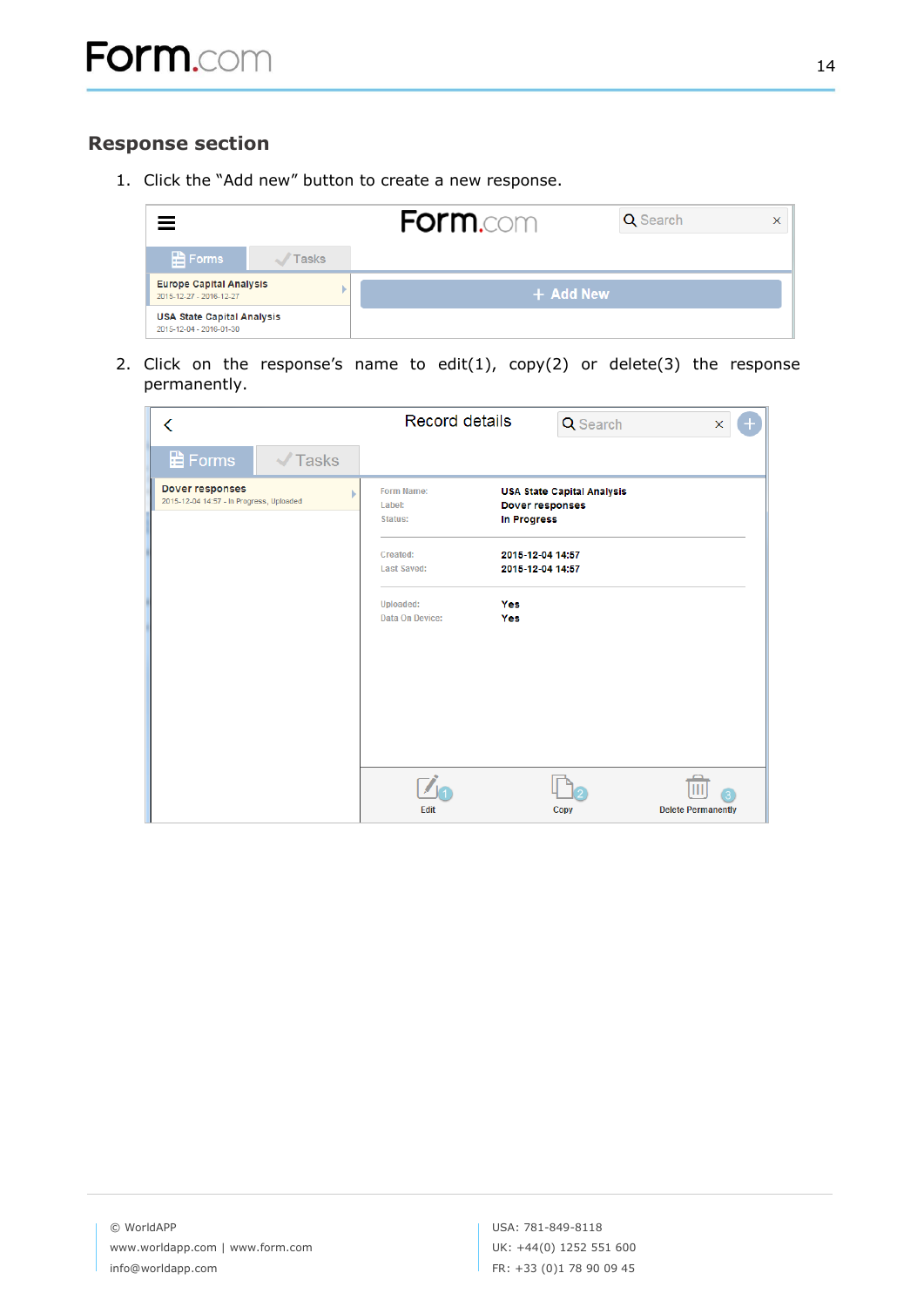## <span id="page-14-0"></span>**Response section**

1. Click the "Add new" button to create a new response.

| $=$                                                          |              | <b>Form.com</b> | <b>Q</b> Search | $\times$ |
|--------------------------------------------------------------|--------------|-----------------|-----------------|----------|
| <b>B</b> Forms                                               | <b>Tasks</b> |                 |                 |          |
| <b>Europe Capital Analysis</b><br>2015-12-27 - 2016-12-27    |              | + Add New       |                 |          |
| <b>USA State Capital Analysis</b><br>2015-12-04 - 2016-01-30 |              |                 |                 |          |

2. Click on the response's name to edit(1), copy(2) or delete(3) the response permanently.

| ∢                                                           | <b>Record details</b>                                                                                                                                                                | Q Search<br>$\pmb{\times}$<br>$\pm$                         |
|-------------------------------------------------------------|--------------------------------------------------------------------------------------------------------------------------------------------------------------------------------------|-------------------------------------------------------------|
| <b>日 Forms</b><br>$\sqrt{}$ Tasks                           |                                                                                                                                                                                      |                                                             |
| Dover responses<br>2015-12-04 14:57 - In Progress, Uploaded | Form Name:<br>Label:<br><b>In Progress</b><br>Status:<br>Created:<br>2015-12-04 14:57<br><b>Last Saved:</b><br>2015-12-04 14:57<br><b>Uploaded:</b><br>Yes<br>Data On Device:<br>Yes | <b>USA State Capital Analysis</b><br><b>Dover responses</b> |
|                                                             | Edit                                                                                                                                                                                 | <b>Delete Permanently</b><br>Copy                           |